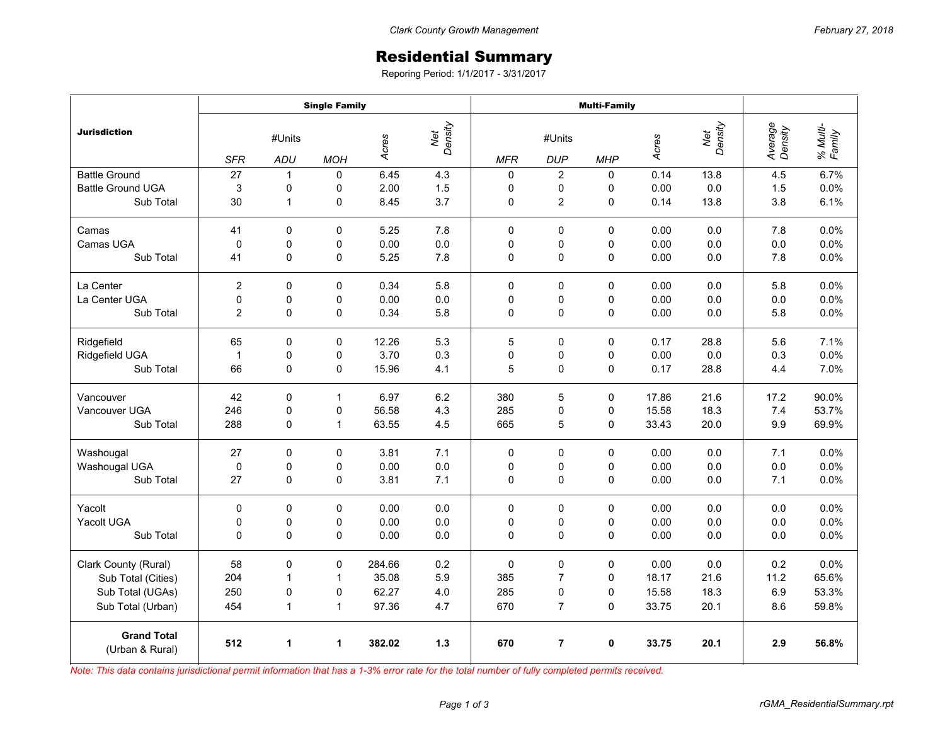## Residential Summary

Reporing Period: 1/1/2017 - 3/31/2017

|                                       | <b>Single Family</b> |              |              |        |                | <b>Multi-Family</b> |                |             |       |                |                    |                    |
|---------------------------------------|----------------------|--------------|--------------|--------|----------------|---------------------|----------------|-------------|-------|----------------|--------------------|--------------------|
| <b>Jurisdiction</b>                   | #Units               |              |              | Acres  | Net<br>Density | #Units              |                |             | Acres | Net<br>Density | Average<br>Density | % Multi-<br>Family |
|                                       | <b>SFR</b>           | ADU          | <b>MOH</b>   |        |                | <b>MFR</b>          | <b>DUP</b>     | <b>MHP</b>  |       |                |                    |                    |
| <b>Battle Ground</b>                  | 27                   | $\mathbf{1}$ | $\mathbf 0$  | 6.45   | 4.3            | $\mathbf 0$         | $\overline{2}$ | $\Omega$    | 0.14  | 13.8           | 4.5                | 6.7%               |
| <b>Battle Ground UGA</b>              | 3                    | 0            | 0            | 2.00   | 1.5            | 0                   | 0              | 0           | 0.00  | 0.0            | 1.5                | 0.0%               |
| Sub Total                             | 30                   | $\mathbf{1}$ | 0            | 8.45   | 3.7            | 0                   | $\overline{c}$ | 0           | 0.14  | 13.8           | 3.8                | 6.1%               |
| Camas                                 | 41                   | $\Omega$     | $\mathbf 0$  | 5.25   | 7.8            | $\mathbf 0$         | $\mathbf 0$    | $\Omega$    | 0.00  | 0.0            | 7.8                | 0.0%               |
| Camas UGA                             | $\mathbf 0$          | 0            | 0            | 0.00   | 0.0            | 0                   | 0              | 0           | 0.00  | 0.0            | 0.0                | 0.0%               |
| Sub Total                             | 41                   | $\mathbf 0$  | 0            | 5.25   | 7.8            | 0                   | 0              | 0           | 0.00  | 0.0            | 7.8                | 0.0%               |
| La Center                             | $\overline{2}$       | $\mathbf 0$  | 0            | 0.34   | 5.8            | $\mathbf 0$         | 0              | 0           | 0.00  | 0.0            | 5.8                | 0.0%               |
| La Center UGA                         | $\mathbf 0$          | 0            | $\mathsf 0$  | 0.00   | 0.0            | 0                   | 0              | 0           | 0.00  | 0.0            | 0.0                | 0.0%               |
| Sub Total                             | $\overline{c}$       | 0            | 0            | 0.34   | 5.8            | 0                   | 0              | 0           | 0.00  | 0.0            | 5.8                | 0.0%               |
| Ridgefield                            | 65                   | $\Omega$     | 0            | 12.26  | 5.3            | 5                   | 0              | $\mathbf 0$ | 0.17  | 28.8           | 5.6                | 7.1%               |
| Ridgefield UGA                        | $\mathbf{1}$         | 0            | 0            | 3.70   | 0.3            | 0                   | 0              | 0           | 0.00  | 0.0            | 0.3                | 0.0%               |
| Sub Total                             | 66                   | $\pmb{0}$    | 0            | 15.96  | 4.1            | 5                   | 0              | 0           | 0.17  | 28.8           | 4.4                | 7.0%               |
| Vancouver                             | 42                   | $\mathbf 0$  | $\mathbf{1}$ | 6.97   | 6.2            | 380                 | 5              | 0           | 17.86 | 21.6           | 17.2               | 90.0%              |
| Vancouver UGA                         | 246                  | 0            | 0            | 56.58  | 4.3            | 285                 | 0              | $\Omega$    | 15.58 | 18.3           | 7.4                | 53.7%              |
| Sub Total                             | 288                  | 0            | $\mathbf{1}$ | 63.55  | 4.5            | 665                 | 5              | 0           | 33.43 | 20.0           | 9.9                | 69.9%              |
| Washougal                             | 27                   | 0            | 0            | 3.81   | 7.1            | 0                   | $\pmb{0}$      | 0           | 0.00  | 0.0            | 7.1                | 0.0%               |
| Washougal UGA                         | 0                    | 0            | 0            | 0.00   | 0.0            | 0                   | 0              | 0           | 0.00  | 0.0            | 0.0                | 0.0%               |
| Sub Total                             | 27                   | $\mathbf 0$  | $\mathbf 0$  | 3.81   | 7.1            | 0                   | 0              | $\Omega$    | 0.00  | 0.0            | 7.1                | 0.0%               |
| Yacolt                                | $\mathbf 0$          | $\Omega$     | $\mathbf 0$  | 0.00   | 0.0            | 0                   | 0              | $\Omega$    | 0.00  | 0.0            | 0.0                | 0.0%               |
| Yacolt UGA                            | $\mathbf 0$          | 0            | 0            | 0.00   | 0.0            | 0                   | 0              | 0           | 0.00  | 0.0            | 0.0                | 0.0%               |
| Sub Total                             | $\mathbf 0$          | $\Omega$     | $\mathbf 0$  | 0.00   | 0.0            | $\mathbf 0$         | 0              | 0           | 0.00  | 0.0            | 0.0                | 0.0%               |
| Clark County (Rural)                  | 58                   | $\pmb{0}$    | 0            | 284.66 | 0.2            | $\mathbf 0$         | $\pmb{0}$      | 0           | 0.00  | 0.0            | 0.2                | 0.0%               |
| Sub Total (Cities)                    | 204                  | $\mathbf{1}$ | $\mathbf{1}$ | 35.08  | 5.9            | 385                 | $\overline{7}$ | $\mathbf 0$ | 18.17 | 21.6           | 11.2               | 65.6%              |
| Sub Total (UGAs)                      | 250                  | 0            | 0            | 62.27  | 4.0            | 285                 | 0              | $\Omega$    | 15.58 | 18.3           | 6.9                | 53.3%              |
| Sub Total (Urban)                     | 454                  | 1            | $\mathbf{1}$ | 97.36  | 4.7            | 670                 | $\overline{7}$ | 0           | 33.75 | 20.1           | 8.6                | 59.8%              |
| <b>Grand Total</b><br>(Urban & Rural) | 512                  | 1            | 1            | 382.02 | 1.3            | 670                 | $\overline{7}$ | $\mathbf 0$ | 33.75 | 20.1           | 2.9                | 56.8%              |

*Note: This data contains jurisdictional permit information that has a 1-3% error rate for the total number of fully completed permits received.*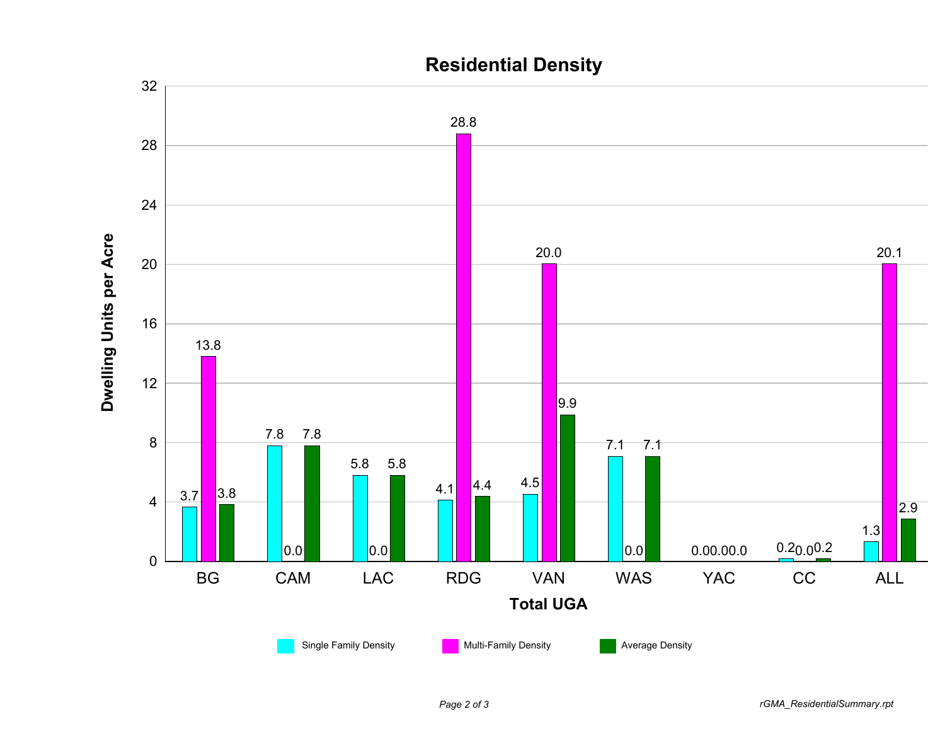

## **Residential Density**